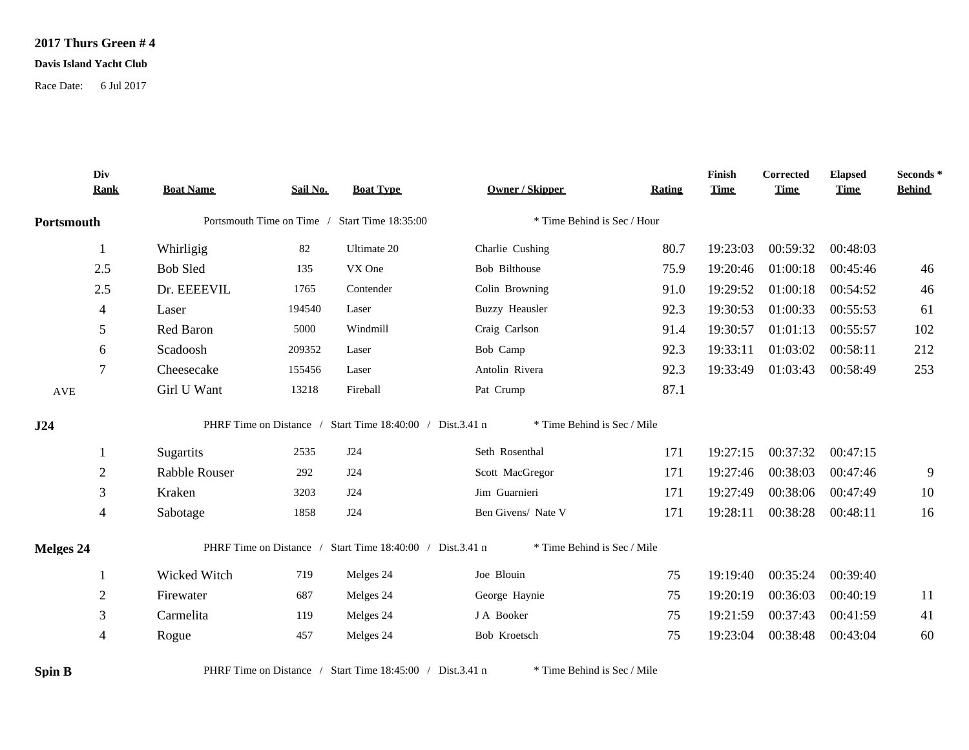## **2017 Thurs Green # 4**

## **Davis Island Yacht Club**

Race Date: 6 Jul 2017

|            | Div<br><b>Rank</b> | <b>Boat Name</b>                              | Sail No. | <b>Boat Type</b>                                          | <b>Owner / Skipper</b>      | <b>Rating</b> | Finish<br><b>Time</b> | <b>Corrected</b><br><b>Time</b> | <b>Elapsed</b><br><b>Time</b> | Seconds*<br><b>Behind</b> |
|------------|--------------------|-----------------------------------------------|----------|-----------------------------------------------------------|-----------------------------|---------------|-----------------------|---------------------------------|-------------------------------|---------------------------|
| Portsmouth |                    | Portsmouth Time on Time / Start Time 18:35:00 |          | * Time Behind is Sec / Hour                               |                             |               |                       |                                 |                               |                           |
|            | 1                  | Whirligig                                     | 82       | Ultimate 20                                               | Charlie Cushing             | 80.7          | 19:23:03              | 00:59:32                        | 00:48:03                      |                           |
|            | 2.5                | <b>Bob Sled</b>                               | 135      | VX One                                                    | Bob Bilthouse               | 75.9          | 19:20:46              | 01:00:18                        | 00:45:46                      | 46                        |
|            | 2.5                | Dr. EEEEVIL                                   | 1765     | Contender                                                 | Colin Browning              | 91.0          | 19:29:52              | 01:00:18                        | 00:54:52                      | 46                        |
|            | 4                  | Laser                                         | 194540   | Laser                                                     | <b>Buzzy Heausler</b>       | 92.3          | 19:30:53              | 01:00:33                        | 00:55:53                      | 61                        |
|            | 5                  | Red Baron                                     | 5000     | Windmill                                                  | Craig Carlson               | 91.4          | 19:30:57              | 01:01:13                        | 00:55:57                      | 102                       |
|            | 6                  | Scadoosh                                      | 209352   | Laser                                                     | Bob Camp                    | 92.3          | 19:33:11              | 01:03:02                        | 00:58:11                      | 212                       |
|            | 7                  | Cheesecake                                    | 155456   | Laser                                                     | Antolin Rivera              | 92.3          | 19:33:49              | 01:03:43                        | 00:58:49                      | 253                       |
| AVE        |                    | Girl U Want                                   | 13218    | Fireball                                                  | Pat Crump                   | 87.1          |                       |                                 |                               |                           |
|            |                    |                                               |          |                                                           |                             |               |                       |                                 |                               |                           |
| J24        |                    |                                               |          | PHRF Time on Distance / Start Time 18:40:00 / Dist.3.41 n | * Time Behind is Sec / Mile |               |                       |                                 |                               |                           |
|            | 1                  | Sugartits                                     | 2535     | J24                                                       | Seth Rosenthal              | 171           | 19:27:15              | 00:37:32                        | 00:47:15                      |                           |
|            | 2                  | Rabble Rouser                                 | 292      | J24                                                       | Scott MacGregor             | 171           | 19:27:46              | 00:38:03                        | 00:47:46                      | 9                         |
|            | 3                  | Kraken                                        | 3203     | J24                                                       | Jim Guarnieri               | 171           | 19:27:49              | 00:38:06                        | 00:47:49                      | 10                        |
|            | 4                  | Sabotage                                      | 1858     | J24                                                       | Ben Givens/ Nate V          | 171           | 19:28:11              | 00:38:28                        | 00:48:11                      | 16                        |
| Melges 24  |                    |                                               |          | PHRF Time on Distance / Start Time 18:40:00 / Dist.3.41 n | * Time Behind is Sec / Mile |               |                       |                                 |                               |                           |
|            |                    | Wicked Witch                                  | 719      | Melges 24                                                 | Joe Blouin                  | 75            | 19:19:40              | 00:35:24                        | 00:39:40                      |                           |
|            | $\overline{2}$     | Firewater                                     | 687      | Melges 24                                                 | George Haynie               | 75            | 19:20:19              | 00:36:03                        | 00:40:19                      | 11                        |
|            | 3                  | Carmelita                                     | 119      | Melges 24                                                 | J A Booker                  | 75            | 19:21:59              | 00:37:43                        | 00:41:59                      | 41                        |

**Spin B** PHRF Time on Distance / Start Time 18:45:00 / Dist.3.41 n \* Time Behind is Sec / Mile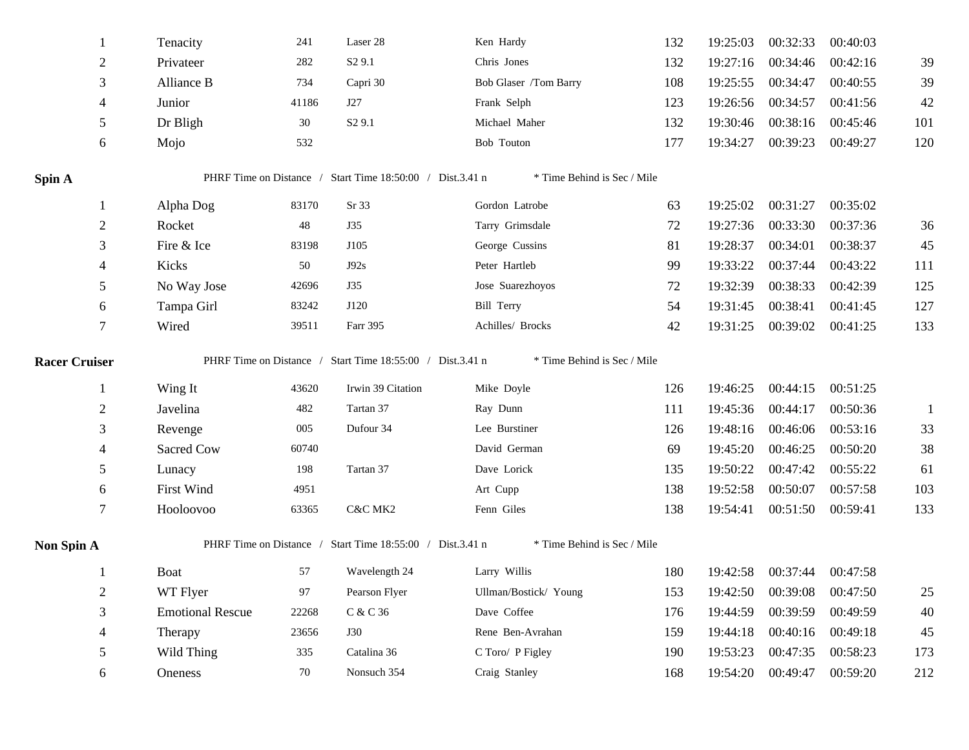|                      | 1              | Tenacity                | 241   | Laser 28                                                  | Ken Hardy                   | 132 | 19:25:03 | 00:32:33                   | 00:40:03 |              |
|----------------------|----------------|-------------------------|-------|-----------------------------------------------------------|-----------------------------|-----|----------|----------------------------|----------|--------------|
|                      | $\overline{2}$ | Privateer               | 282   | S <sub>2</sub> 9.1                                        | Chris Jones                 | 132 | 19:27:16 | 00:34:46                   | 00:42:16 | 39           |
|                      | 3              | Alliance B              | 734   | Capri 30                                                  | Bob Glaser /Tom Barry       | 108 | 19:25:55 | 00:34:47                   | 00:40:55 | 39           |
|                      | 4              | Junior                  | 41186 | J27                                                       | Frank Selph                 | 123 | 19:26:56 | 00:34:57                   | 00:41:56 | 42           |
|                      | 5              | Dr Bligh                | 30    | S <sub>2</sub> 9.1                                        | Michael Maher               | 132 | 19:30:46 | 00:38:16                   | 00:45:46 | 101          |
|                      | 6              | Mojo                    | 532   |                                                           | Bob Touton                  | 177 | 19:34:27 | 00:39:23                   | 00:49:27 | 120          |
| Spin A               |                |                         |       | PHRF Time on Distance / Start Time 18:50:00 / Dist.3.41 n | * Time Behind is Sec / Mile |     |          |                            |          |              |
|                      | 1              | Alpha Dog               | 83170 | Sr 33                                                     | Gordon Latrobe              | 63  | 19:25:02 | 00:31:27                   | 00:35:02 |              |
|                      | $\mathbf{2}$   | Rocket                  | 48    | <b>J35</b>                                                | Tarry Grimsdale             | 72  | 19:27:36 | 00:33:30                   | 00:37:36 | 36           |
|                      | 3              | Fire & Ice              | 83198 | J105                                                      | George Cussins              | 81  | 19:28:37 | 00:34:01                   | 00:38:37 | 45           |
|                      | 4              | Kicks                   | 50    | J92s                                                      | Peter Hartleb               | 99  | 19:33:22 | 00:37:44                   | 00:43:22 | 111          |
|                      | 5              | No Way Jose             | 42696 | <b>J35</b>                                                | Jose Suarezhoyos            | 72  | 19:32:39 | 00:38:33                   | 00:42:39 | 125          |
|                      | 6              | Tampa Girl              | 83242 | J120                                                      | <b>Bill Terry</b>           | 54  | 19:31:45 | 00:38:41                   | 00:41:45 | 127          |
|                      | 7              | Wired                   | 39511 | Farr 395                                                  | Achilles/ Brocks            | 42  | 19:31:25 | 00:39:02                   | 00:41:25 | 133          |
| <b>Racer Cruiser</b> |                |                         |       | PHRF Time on Distance / Start Time 18:55:00 / Dist.3.41 n | * Time Behind is Sec / Mile |     |          |                            |          |              |
|                      | $\mathbf{1}$   | Wing It                 | 43620 | Irwin 39 Citation                                         | Mike Doyle                  | 126 | 19:46:25 | 00:44:15                   | 00:51:25 |              |
|                      | $\mathbf{2}$   | Javelina                | 482   | Tartan 37                                                 | Ray Dunn                    | 111 | 19:45:36 | 00:44:17                   | 00:50:36 | $\mathbf{1}$ |
|                      | 3              | Revenge                 | 005   | Dufour 34                                                 | Lee Burstiner               | 126 | 19:48:16 | 00:46:06                   | 00:53:16 | 33           |
|                      | 4              | Sacred Cow              | 60740 |                                                           | David German                | 69  | 19:45:20 | 00:46:25                   | 00:50:20 | 38           |
|                      | 5              | Lunacy                  | 198   | Tartan 37                                                 | Dave Lorick                 | 135 | 19:50:22 | 00:47:42                   | 00:55:22 | 61           |
|                      | 6              | First Wind              | 4951  |                                                           | Art Cupp                    | 138 | 19:52:58 | 00:50:07                   | 00:57:58 | 103          |
|                      | 7              | Hooloovoo               | 63365 | C&C MK2                                                   | Fenn Giles                  | 138 | 19:54:41 | 00:51:50                   | 00:59:41 | 133          |
| Non Spin A           |                |                         |       | PHRF Time on Distance / Start Time 18:55:00 / Dist.3.41 n | * Time Behind is Sec / Mile |     |          |                            |          |              |
|                      | 1              | <b>Boat</b>             | 57    | Wavelength 24                                             | Larry Willis                | 180 |          | 19:42:58 00:37:44 00:47:58 |          |              |
|                      | $\overline{2}$ | WT Flyer                | 97    | Pearson Flyer                                             | Ullman/Bostick/ Young       | 153 | 19:42:50 | 00:39:08                   | 00:47:50 | 25           |
|                      | 3              | <b>Emotional Rescue</b> | 22268 | C & C 36                                                  | Dave Coffee                 | 176 | 19:44:59 | 00:39:59                   | 00:49:59 | 40           |
|                      | 4              | Therapy                 | 23656 | <b>J30</b>                                                | Rene Ben-Avrahan            | 159 | 19:44:18 | 00:40:16                   | 00:49:18 | 45           |
|                      | 5              | Wild Thing              | 335   | Catalina 36                                               | C Toro/ P Figley            | 190 | 19:53:23 | 00:47:35                   | 00:58:23 | 173          |
|                      | 6              | Oneness                 | 70    | Nonsuch 354                                               | Craig Stanley               | 168 | 19:54:20 | 00:49:47                   | 00:59:20 | 212          |